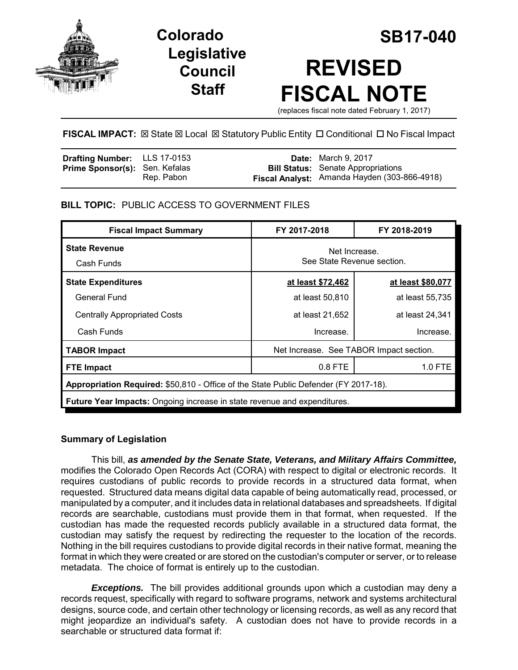

# **Legislative Council Staff**

# **Colorado SB17-040 REVISED FISCAL NOTE**

(replaces fiscal note dated February 1, 2017)

# **FISCAL IMPACT:**  $\boxtimes$  **State**  $\boxtimes$  **Local**  $\boxtimes$  **Statutory Public Entity □ Conditional □ No Fiscal Impact**

| <b>Drafting Number:</b> LLS 17-0153   |            | <b>Date:</b> March 9, 2017                   |
|---------------------------------------|------------|----------------------------------------------|
| <b>Prime Sponsor(s): Sen. Kefalas</b> |            | <b>Bill Status:</b> Senate Appropriations    |
|                                       | Rep. Pabon | Fiscal Analyst: Amanda Hayden (303-866-4918) |

# **BILL TOPIC:** PUBLIC ACCESS TO GOVERNMENT FILES

| <b>Fiscal Impact Summary</b>                                                         | FY 2017-2018                                | FY 2018-2019      |  |  |  |
|--------------------------------------------------------------------------------------|---------------------------------------------|-------------------|--|--|--|
| <b>State Revenue</b><br>Cash Funds                                                   | Net Increase.<br>See State Revenue section. |                   |  |  |  |
| <b>State Expenditures</b>                                                            | at least \$72,462                           | at least \$80,077 |  |  |  |
| General Fund                                                                         | at least 50,810                             | at least 55,735   |  |  |  |
| <b>Centrally Appropriated Costs</b>                                                  | at least 21,652                             | at least 24,341   |  |  |  |
| Cash Funds                                                                           | Increase.                                   | Increase.         |  |  |  |
| <b>TABOR Impact</b>                                                                  | Net Increase. See TABOR Impact section.     |                   |  |  |  |
| <b>FTE Impact</b>                                                                    | $0.8$ FTE                                   | 1.0 FTE           |  |  |  |
| Appropriation Required: \$50,810 - Office of the State Public Defender (FY 2017-18). |                                             |                   |  |  |  |
| Future Year Impacts: Ongoing increase in state revenue and expenditures.             |                                             |                   |  |  |  |

# **Summary of Legislation**

This bill, *as amended by the Senate State, Veterans, and Military Affairs Committee,* modifies the Colorado Open Records Act (CORA) with respect to digital or electronic records. It requires custodians of public records to provide records in a structured data format, when requested. Structured data means digital data capable of being automatically read, processed, or manipulated by a computer, and it includes data in relational databases and spreadsheets. If digital records are searchable, custodians must provide them in that format, when requested. If the custodian has made the requested records publicly available in a structured data format, the custodian may satisfy the request by redirecting the requester to the location of the records. Nothing in the bill requires custodians to provide digital records in their native format, meaning the format in which they were created or are stored on the custodian's computer or server, or to release metadata. The choice of format is entirely up to the custodian.

*Exceptions.* The bill provides additional grounds upon which a custodian may deny a records request, specifically with regard to software programs, network and systems architectural designs, source code, and certain other technology or licensing records, as well as any record that might jeopardize an individual's safety. A custodian does not have to provide records in a searchable or structured data format if: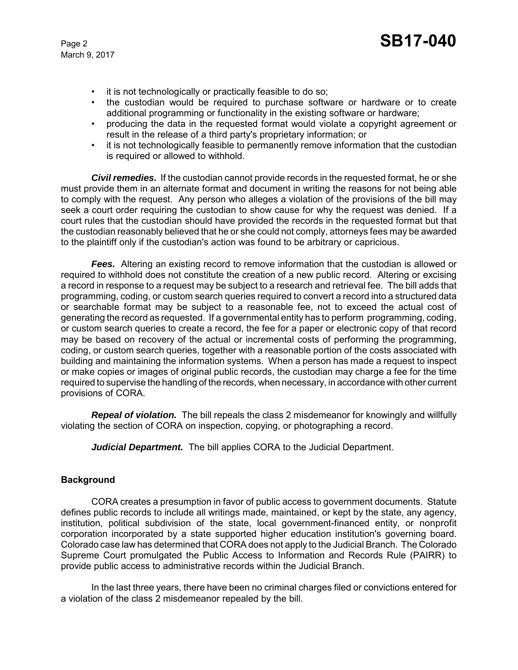- it is not technologically or practically feasible to do so;
- the custodian would be required to purchase software or hardware or to create additional programming or functionality in the existing software or hardware;
- producing the data in the requested format would violate a copyright agreement or result in the release of a third party's proprietary information; or
- it is not technologically feasible to permanently remove information that the custodian is required or allowed to withhold.

*Civil remedies.* If the custodian cannot provide records in the requested format, he or she must provide them in an alternate format and document in writing the reasons for not being able to comply with the request. Any person who alleges a violation of the provisions of the bill may seek a court order requiring the custodian to show cause for why the request was denied. If a court rules that the custodian should have provided the records in the requested format but that the custodian reasonably believed that he or she could not comply, attorneys fees may be awarded to the plaintiff only if the custodian's action was found to be arbitrary or capricious.

**Fees.** Altering an existing record to remove information that the custodian is allowed or required to withhold does not constitute the creation of a new public record. Altering or excising a record in response to a request may be subject to a research and retrieval fee. The bill adds that programming, coding, or custom search queries required to convert a record into a structured data or searchable format may be subject to a reasonable fee, not to exceed the actual cost of generating the record as requested. If a governmental entity has to perform programming, coding, or custom search queries to create a record, the fee for a paper or electronic copy of that record may be based on recovery of the actual or incremental costs of performing the programming, coding, or custom search queries, together with a reasonable portion of the costs associated with building and maintaining the information systems. When a person has made a request to inspect or make copies or images of original public records, the custodian may charge a fee for the time required to supervise the handling of the records, when necessary, in accordance with other current provisions of CORA.

*Repeal of violation.* The bill repeals the class 2 misdemeanor for knowingly and willfully violating the section of CORA on inspection, copying, or photographing a record.

*Judicial Department.* The bill applies CORA to the Judicial Department.

# **Background**

CORA creates a presumption in favor of public access to government documents. Statute defines public records to include all writings made, maintained, or kept by the state, any agency, institution, political subdivision of the state, local government-financed entity, or nonprofit corporation incorporated by a state supported higher education institution's governing board. Colorado case law has determined that CORA does not apply to the Judicial Branch. The Colorado Supreme Court promulgated the Public Access to Information and Records Rule (PAIRR) to provide public access to administrative records within the Judicial Branch.

In the last three years, there have been no criminal charges filed or convictions entered for a violation of the class 2 misdemeanor repealed by the bill.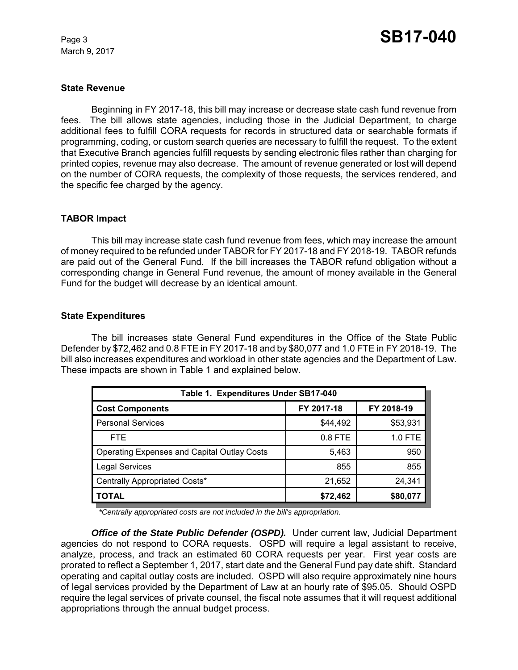#### **State Revenue**

Beginning in FY 2017-18, this bill may increase or decrease state cash fund revenue from fees. The bill allows state agencies, including those in the Judicial Department, to charge additional fees to fulfill CORA requests for records in structured data or searchable formats if programming, coding, or custom search queries are necessary to fulfill the request. To the extent that Executive Branch agencies fulfill requests by sending electronic files rather than charging for printed copies, revenue may also decrease. The amount of revenue generated or lost will depend on the number of CORA requests, the complexity of those requests, the services rendered, and the specific fee charged by the agency.

#### **TABOR Impact**

This bill may increase state cash fund revenue from fees, which may increase the amount of money required to be refunded under TABOR for FY 2017-18 and FY 2018-19. TABOR refunds are paid out of the General Fund. If the bill increases the TABOR refund obligation without a corresponding change in General Fund revenue, the amount of money available in the General Fund for the budget will decrease by an identical amount.

#### **State Expenditures**

The bill increases state General Fund expenditures in the Office of the State Public Defender by \$72,462 and 0.8 FTE in FY 2017-18 and by \$80,077 and 1.0 FTE in FY 2018-19. The bill also increases expenditures and workload in other state agencies and the Department of Law. These impacts are shown in Table 1 and explained below.

| Table 1. Expenditures Under SB17-040               |            |            |  |  |  |  |
|----------------------------------------------------|------------|------------|--|--|--|--|
| <b>Cost Components</b>                             | FY 2017-18 | FY 2018-19 |  |  |  |  |
| <b>Personal Services</b>                           | \$44,492   | \$53,931   |  |  |  |  |
| FTE.                                               | $0.8$ FTE  | 1.0 FTE    |  |  |  |  |
| <b>Operating Expenses and Capital Outlay Costs</b> | 5,463      | 950        |  |  |  |  |
| <b>Legal Services</b>                              | 855        | 855        |  |  |  |  |
| Centrally Appropriated Costs*                      | 21,652     | 24,341     |  |  |  |  |
| TOTAL                                              | \$72,462   | \$80,077   |  |  |  |  |

*\*Centrally appropriated costs are not included in the bill's appropriation.*

*Office of the State Public Defender (OSPD).* Under current law, Judicial Department agencies do not respond to CORA requests. OSPD will require a legal assistant to receive, analyze, process, and track an estimated 60 CORA requests per year. First year costs are prorated to reflect a September 1, 2017, start date and the General Fund pay date shift. Standard operating and capital outlay costs are included. OSPD will also require approximately nine hours of legal services provided by the Department of Law at an hourly rate of \$95.05. Should OSPD require the legal services of private counsel, the fiscal note assumes that it will request additional appropriations through the annual budget process.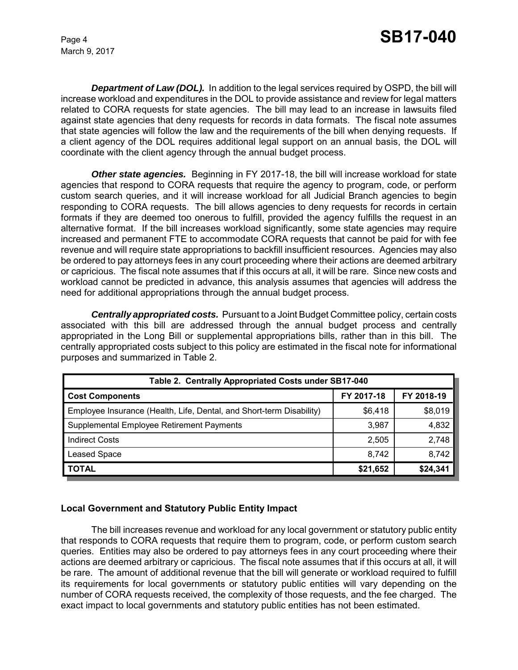*Department of Law (DOL).* In addition to the legal services required by OSPD, the bill will increase workload and expenditures in the DOL to provide assistance and review for legal matters related to CORA requests for state agencies. The bill may lead to an increase in lawsuits filed against state agencies that deny requests for records in data formats. The fiscal note assumes that state agencies will follow the law and the requirements of the bill when denying requests. If a client agency of the DOL requires additional legal support on an annual basis, the DOL will coordinate with the client agency through the annual budget process.

*Other state agencies.* Beginning in FY 2017-18, the bill will increase workload for state agencies that respond to CORA requests that require the agency to program, code, or perform custom search queries, and it will increase workload for all Judicial Branch agencies to begin responding to CORA requests. The bill allows agencies to deny requests for records in certain formats if they are deemed too onerous to fulfill, provided the agency fulfills the request in an alternative format. If the bill increases workload significantly, some state agencies may require increased and permanent FTE to accommodate CORA requests that cannot be paid for with fee revenue and will require state appropriations to backfill insufficient resources. Agencies may also be ordered to pay attorneys fees in any court proceeding where their actions are deemed arbitrary or capricious. The fiscal note assumes that if this occurs at all, it will be rare. Since new costs and workload cannot be predicted in advance, this analysis assumes that agencies will address the need for additional appropriations through the annual budget process.

*Centrally appropriated costs.* Pursuant to a Joint Budget Committee policy, certain costs associated with this bill are addressed through the annual budget process and centrally appropriated in the Long Bill or supplemental appropriations bills, rather than in this bill. The centrally appropriated costs subject to this policy are estimated in the fiscal note for informational purposes and summarized in Table 2.

| Table 2. Centrally Appropriated Costs under SB17-040                 |            |            |  |  |  |  |
|----------------------------------------------------------------------|------------|------------|--|--|--|--|
| <b>Cost Components</b>                                               | FY 2017-18 | FY 2018-19 |  |  |  |  |
| Employee Insurance (Health, Life, Dental, and Short-term Disability) | \$6,418    | \$8,019    |  |  |  |  |
| Supplemental Employee Retirement Payments                            | 3,987      | 4,832      |  |  |  |  |
| <b>Indirect Costs</b>                                                | 2,505      | 2,748      |  |  |  |  |
| <b>Leased Space</b>                                                  | 8,742      | 8,742      |  |  |  |  |
| <b>TOTAL</b>                                                         | \$21,652   | \$24,341   |  |  |  |  |

# **Local Government and Statutory Public Entity Impact**

The bill increases revenue and workload for any local government or statutory public entity that responds to CORA requests that require them to program, code, or perform custom search queries. Entities may also be ordered to pay attorneys fees in any court proceeding where their actions are deemed arbitrary or capricious. The fiscal note assumes that if this occurs at all, it will be rare. The amount of additional revenue that the bill will generate or workload required to fulfill its requirements for local governments or statutory public entities will vary depending on the number of CORA requests received, the complexity of those requests, and the fee charged. The exact impact to local governments and statutory public entities has not been estimated.